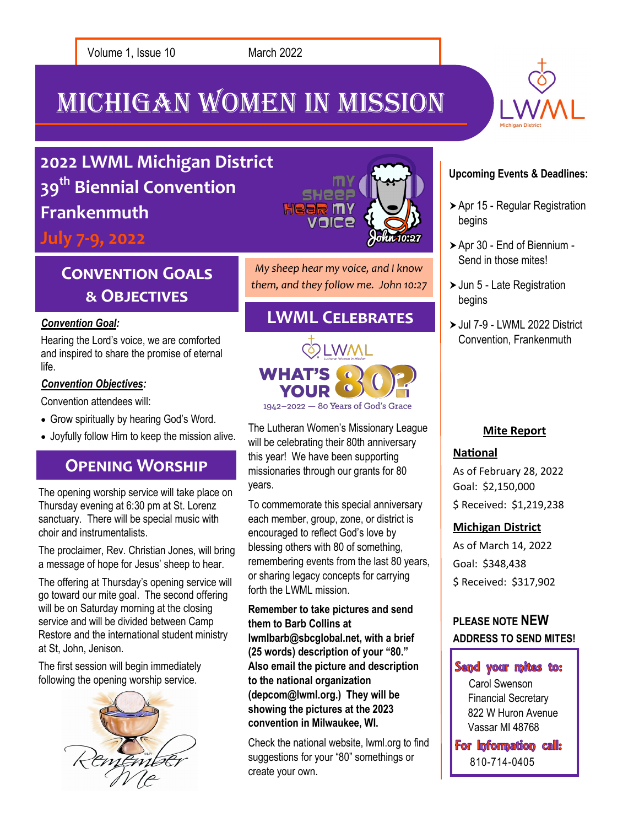Michigan Women In Mission



# **2022 LWML Michigan District 39th Biennial Convention Frankenmuth**

**July 7-9, 2022**

# **Convention Goals & Objectives**

Hearing the Lord's voice, we are comforted and inspired to share the promise of eternal life.

#### *Convention Objectives:*

Convention attendees will:

- Grow spiritually by hearing God's Word.
- Joyfully follow Him to keep the mission alive.

## **Opening Worship**

The opening worship service will take place on Thursday evening at 6:30 pm at St. Lorenz sanctuary. There will be special music with choir and instrumentalists.

The proclaimer, Rev. Christian Jones, will bring a message of hope for Jesus' sheep to hear.

The offering at Thursday's opening service will go toward our mite goal. The second offering will be on Saturday morning at the closing service and will be divided between Camp Restore and the international student ministry at St, John, Jenison.

The first session will begin immediately following the opening worship service.





*My sheep hear my voice, and I know them, and they follow me. John 10:27*

## **Convention Goal: Convention Goal:** *Convention Goal:* **LWML CELEBRATES**



The Lutheran Women's Missionary League will be celebrating their 80th anniversary this year! We have been supporting missionaries through our grants for 80 years.

To commemorate this special anniversary each member, group, zone, or district is encouraged to reflect God's love by blessing others with 80 of something, remembering events from the last 80 years, or sharing legacy concepts for carrying forth the LWML mission.

**Remember to take pictures and send them to Barb Collins at lwmlbarb@sbcglobal.net, with a brief (25 words) description of your "80." Also email the picture and description to the national organization (depcom@lwml.org.) They will be showing the pictures at the 2023 convention in Milwaukee, WI.**

Check the national website, lwml.org to find suggestions for your "80" somethings or create your own.

#### **Upcoming Events & Deadlines:**

- Apr 15 Regular Registration begins
- Apr 30 End of Biennium Send in those mites!
- ▶ Jun 5 Late Registration begins
- Jul 7-9 LWML 2022 District Convention, Frankenmuth

## **Mite Report**

## **National**

As of February 28, 2022 Goal: \$2,150,000 \$ Received: \$1,219,238

## **Michigan District**

As of March 14, 2022 Goal: \$348,438 \$ Received: \$317,902

## **PLEASE NOTE NEW ADDRESS TO SEND MITES!**

## Send your mites to:

Carol Swenson Financial Secretary 822 W Huron Avenue Vassar MI 48768

For Information call: 810-714-0405